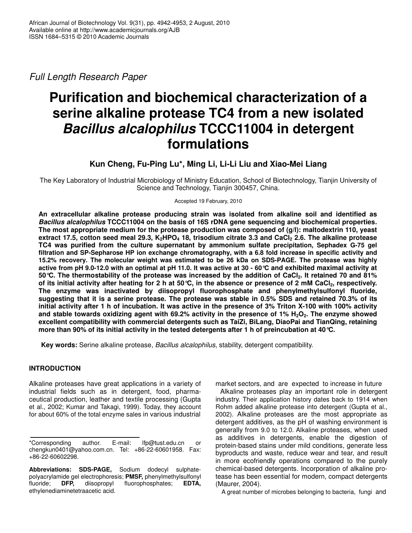*Full Length Research Paper*

# **Purification and biochemical characterization of a serine alkaline protease TC4 from a new isolated** *Bacillus alcalophilus* **TCCC11004 in detergent formulations**

# **Kun Cheng, Fu-Ping Lu\*, Ming Li, Li-Li Liu and Xiao-Mei Liang**

The Key Laboratory of Industrial Microbiology of Ministry Education, School of Biotechnology, Tianjin University of Science and Technology, Tianjin 300457, China.

Accepted 19 February, 2010

**An extracellular alkaline protease producing strain was isolated from alkaline soil and identified as** *Bacillus alcalophilus* **TCCC11004 on the basis of 16S rDNA gene sequencing and biochemical properties. The most appropriate medium for the protease production was composed of (g/l): maltodextrin 110, yeast** extract 17.5, cotton seed meal 29.3, K<sub>2</sub>HPO<sub>4</sub> 18, trisodium citrate 3.3 and CaCl<sub>2</sub> 2.6. The alkaline protease **TC4 was purified from the culture supernatant by ammonium sulfate precipitation, Sephadex G-75 gel filtration and SP-Sepharose HP ion exchange chromatography, with a 6.8 fold increase in specific activity and 15.2% recovery. The molecular weight was estimated to be 26 kDa on SDS-PAGE. The protease was highly** active from pH 9.0-12.0 with an optimal at pH 11.0. It was active at 30 - 60 °C and exhibited maximal activity at 50 °C. The thermostability of the protease was increased by the addition of CaCl<sub>2</sub>. It retained 70 and 81% of its initial activity after heating for 2 h at 50 °C, in the absence or presence of 2 mM CaCl<sub>2</sub>, respectively. **The enzyme was inactivated by diisopropyl fluorophosphate and phenylmethylsulfonyl fluoride,** suggesting that it is a serine protease. The protease was stable in 0.5% SDS and retained 70.3% of its initial activity after 1 h of incubation. It was active in the presence of 3% Triton X-100 with 100% activity and stable towards oxidizing agent with 69.2% activity in the presence of 1%  $H_2O_2$ . The enzyme showed **excellent compatibility with commercial detergents such as TaiZi, BiLang, DiaoPai and TianQing, retaining more than 90% of its initial activity in the tested detergents after 1 h of preincubation at 40°C.**

**Key words:** Serine alkaline protease, *Bacillus alcalophilus*, stability, detergent compatibility.

# **INTRODUCTION**

Alkaline proteases have great applications in a variety of industrial fields such as in detergent, food, pharmaceutical production, leather and textile processing (Gupta et al., 2002; Kumar and Takagi, 1999). Today, they account for about 60% of the total enzyme sales in various industrial market sectors, and are expected to increase in future

Alkaline proteases play an important role in detergent industry. Their application history dates back to 1914 when Rohm added alkaline protease into detergent (Gupta et al., 2002). Alkaline proteases are the most appropriate as detergent additives, as the pH of washing environment is generally from 9.0 to 12.0. Alkaline proteases, when used as additives in detergents, enable the digestion of protein-based stains under mild conditions, generate less byproducts and waste, reduce wear and tear, and result in more ecofriendly operations compared to the purely chemical-based detergents. Incorporation of alkaline protease has been essential for modern, compact detergents (Maurer, 2004).

A great number of microbes belonging to bacteria, fungi and

<sup>\*</sup>Corresponding author. E-mail: lfp@tust.edu.cn or chengkun0401@yahoo.com.cn. Tel: +86-22-60601958. Fax: +86-22-60602298.

**Abbreviations: SDS-PAGE,** Sodium dodecyl sulphatepolyacrylamide gel electrophoresis; **PMSF,** phenylmethylsulfonyl fluoride; **DFP,** diisopropyl fluorophosphates; **EDTA,** ethylenediaminetetraacetic acid.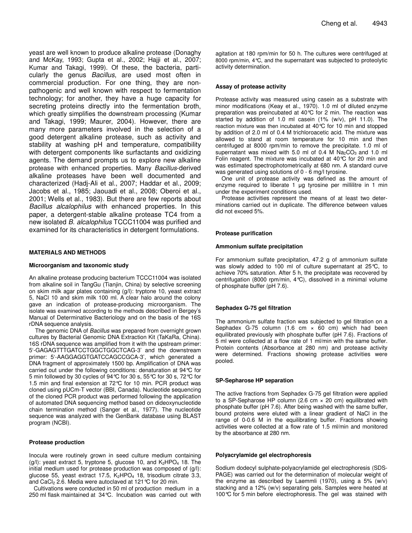yeast are well known to produce alkaline protease (Donaghy and McKay, 1993; Gupta et al., 2002; Hajji et al., 2007; Kumar and Takagi, 1999). Of these, the bacteria, particularly the genus *Bacillus*, are used most often in commercial production. For one thing, they are nonpathogenic and well known with respect to fermentation technology; for another, they have a huge capacity for

secreting proteins directly into the fermentation broth, which greatly simplifies the downstream processing (Kumar and Takagi, 1999; Maurer, 2004). However, there are many more parameters involved in the selection of a good detergent alkaline protease, such as activity and stability at washing pH and temperature, compatibility with detergent components like surfactants and oxidizing agents. The demand prompts us to explore new alkaline protease with enhanced properties. Many *Bacillus*-derived alkaline proteases have been well documented and characterized (Hadj-Ali et al., 2007; Haddar et al., 2009; Jacobs et al., 1985; Jaouadi et al., 2008; Oberoi et al., 2001; Wells et al., 1983). But there are few reports about *Bacillus alcalophilus* with enhanced properties. In this paper, a detergent-stable alkaline protease TC4 from a new isolated *B. alcalophilus* TCCC11004 was purified and examined for its characteristics in detergent formulations.

## **MATERIALS AND METHODS**

## **Microorganism and taxonomic study**

An alkaline protease producing bacterium TCCC11004 was isolated from alkaline soil in TangGu (Tianjin, China) by selective screening on skim milk agar plates containing (g/l): tryptone 10, yeast extract 5, NaCl 10 and skim milk 100 ml. A clear halo around the colony gave an indication of protease-producing microorganism. The isolate was examined according to the methods described in Bergey's Manual of Determinative Bacteriology and on the basis of the 16S rDNA sequence analysis.

The genomic DNA of *Bacillus* was prepared from overnight grown cultures by Bacterial Genomic DNA Extraction Kit (TaKaRa, China). 16S rDNA sequence was amplified from it with the upstream primer: 5'-GAGAGTTTGATCCTGGCTGGCTCAG-3' and the downstream primer: 5'-AAGGAGGTGATCCAGCCGCA-3', which generated a DNA fragment of approximately 1500 bp. Amplification of DNA was carried out under the following conditions: denaturation at 94°C for 5 min followed by 30 cycles of 94°C for 30 s, 55°C for 30 s, 72°C for 1.5 min and final extension at 72°C for 10 min. PCR product was cloned using pUCm-T vector (BBI, Canada). Nucleotide sequencing of the cloned PCR product was performed following the application of automated DNA sequencing method based on dideoxynucleotide chain termination method (Sanger et al., 1977). The nucleotide sequence was analyzed with the GenBank database using BLAST program (NCBI).

## **Protease production**

Inocula were routinely grown in seed culture medium containing  $(g/l)$ : yeast extract 5, tryptone 5, glucose 10, and  $K_2HPO_4$  18. The initial medium used for protease production was composed of (g/l): glucose 55, yeast extract 17.5,  $K_2HPO_4$  18, trisodium citrate 3.3, and CaCl<sub>2</sub> 2.6. Media were autoclaved at 121  $\degree$ C for 20 min.

Cultivations were conducted in 50 ml of production medium in a 250 ml flask maintained at 34°C. Incubation was carried out with

agitation at 180 rpm/min for 50 h. The cultures were centrifuged at 8000 rpm/min, 4°C, and the supernatant was subjected to proteolytic activity determination.

## **Assay of protease activity**

Protease activity was measured using casein as a substrate with minor modifications (Keay et al., 1970). 1.0 ml of diluted enzyme preparation was preincubated at 40°C for 2 min. The reaction was started by addition of 1.0 ml casein (1% (w/v), pH 11.0). The reaction mixture was then incubated at 40°C for 10 min and stopped by addition of 2.0 ml of 0.4 M trichloroacetic acid. The mixture was allowed to stand at room temperature for 10 min and then centrifuged at 8000 rpm/min to remove the precipitate. 1.0 ml of supernatant was mixed with 5.0 ml of 0.4 M  $Na<sub>2</sub>CO<sub>3</sub>$  and 1.0 ml Folin reagent. The mixture was incubated at 40°C for 20 min and was estimated spectrophotometrically at 680 nm. A standard curve was generated using solutions of 0 - 6 mg/l tyrosine.

One unit of protease activity was defined as the amount of enzyme required to liberate 1 µg tyrosine per millilitre in 1 min under the experiment conditions used.

Protease activities represent the means of at least two determinations carried out in duplicate. The difference between values did not exceed 5%.

## **Protease purification**

## **Ammonium sulfate precipitation**

For ammonium sulfate precipitation, 47.2 g of ammonium sulfate was slowly added to 100 ml of culture supernatant at 25°C, to achieve 70% saturation. After 5 h, the precipitate was recovered by centrifugation (8000 rpm/min, 4°C), dissolved in a minimal volume of phosphate buffer (pH 7.6).

## **Sephadex G-75 gel filtration**

The ammonium sulfate fraction was subjected to gel filtration on a Sephadex G-75 column  $(1.6 \text{ cm} \times 60 \text{ cm})$  which had been equilibrated previously with phosphate buffer (pH 7.6). Fractions of 5 ml were collected at a flow rate of 1 ml/min with the same buffer. Protein contents (Absorbance at 280 nm) and protease activity were determined. Fractions showing protease activities were pooled.

## **SP-Sepharose HP separation**

The active fractions from Sephadex G-75 gel filtration were applied to a SP-Sepharose HP column (2.6 cm × 20 cm) equilibrated with phosphate buffer (pH 7.6). After being washed with the same buffer, bound proteins were eluted with a linear gradient of NaCl in the range of 0-0.6 M in the equilibrating buffer. Fractions showing activities were collected at a flow rate of 1.5 ml/min and monitored by the absorbance at 280 nm.

#### **Polyacrylamide gel electrophoresis**

Sodium dodecyl sulphate-polyacrylamide gel electrophoresis (SDS-PAGE) was carried out for the determination of molecular weight of the enzyme as described by Laemmli (1970), using a 5% (w/v) stacking and a 12% (w/v) separating gels. Samples were heated at 100°C for 5 min before electrophoresis. The gel was stained with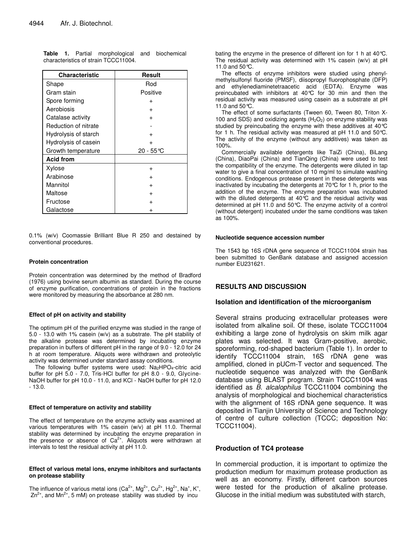| <b>Characteristic</b> | Result    |  |
|-----------------------|-----------|--|
| Shape                 | Rod       |  |
| Gram stain            | Positive  |  |
| Spore forming         | $\ddot{}$ |  |
| Aerobiosis            | $\ddot{}$ |  |
| Catalase activity     | $\ddot{}$ |  |
| Reduction of nitrate  |           |  |
| Hydrolysis of starch  | $\ddot{}$ |  |
| Hydrolysis of casein  |           |  |
| Growth temperature    | 20 - 55 ℃ |  |
| <b>Acid from</b>      |           |  |
| Xylose                | $\ddot{}$ |  |
| Arabinose             |           |  |
| Mannitol              |           |  |
| Maltose               |           |  |
| Fructose              |           |  |
| Galactose             |           |  |

**Table 1.** Partial morphological and biochemical characteristics of strain TCCC11004.

0.1% (w/v) Coomassie Brilliant Blue R 250 and destained by conventional procedures.

## **Protein concentration**

Protein concentration was determined by the method of Bradford (1976) using bovine serum albumin as standard. During the course of enzyme purification, concentrations of protein in the fractions were monitored by measuring the absorbance at 280 nm.

## **Effect of pH on activity and stability**

The optimum pH of the purified enzyme was studied in the range of 5.0 - 13.0 with 1% casein (w/v) as a substrate. The pH stability of the alkaline protease was determined by incubating enzyme preparation in buffers of different pH in the range of 9.0 - 12.0 for 24 h at room temperature. Aliquots were withdrawn and proteolytic activity was determined under standard assay conditions.

The following buffer systems were used:  $Na<sub>2</sub>HPO<sub>4</sub>$ -citric acid buffer for pH 5.0 - 7.0, Tris-HCl buffer for pH 8.0 - 9.0, Glycine-NaOH buffer for pH 10.0 - 11.0, and KCl - NaOH buffer for pH 12.0 - 13.0.

#### **Effect of temperature on activity and stability**

The effect of temperature on the enzyme activity was examined at various temperatures with 1% casein (w/v) at pH 11.0. Thermal stability was determined by incubating the enzyme preparation in the presence or absence of Ca<sup>2+</sup>. Aliquots were withdrawn at intervals to test the residual activity at pH 11.0.

## **Effect of various metal ions, enzyme inhibitors and surfactants on protease stability**

The influence of various metal ions (Ca<sup>2+</sup>, Mg<sup>2+</sup>, Cu<sup>2+</sup>, Hg<sup>2+</sup>, Na<sup>+</sup>, K<sup>+</sup>,  $Zn^{2+}$ , and Mn<sup>2+</sup>, 5 mM) on protease stability was studied by incu

bating the enzyme in the presence of different ion for 1 h at 40°C. The residual activity was determined with 1% casein (w/v) at pH 11.0 and 50°C.

The effects of enzyme inhibitors were studied using phenylmethylsulfonyl fluoride (PMSF), diisopropyl fluorophosphate (DFP) and ethylenediaminetetraacetic acid (EDTA). Enzyme was preincubated with inhibitors at 40°C for 30 min and then the residual activity was measured using casein as a substrate at pH 11.0 and 50°C.

The effect of some surfactants (Tween 60, Tween 80, Triton X-100 and SDS) and oxidizing agents  $(H<sub>2</sub>O<sub>2</sub>)$  on enzyme stability was studied by preincubating the enzyme with these additives at 40°C for 1 h. The residual activity was measured at pH 11.0 and 50°C. The activity of the enzyme (without any additives) was taken as 100%.

Commercially available detergents like TaiZi (China), BiLang (China), DiaoPai (China) and TianQing (China) were used to test the compatibility of the enzyme. The detergents were diluted in tap water to give a final concentration of 10 mg/ml to simulate washing conditions. Endogenous protease present in these detergents was inactivated by incubating the detergents at 70°C for 1 h, prior to the addition of the enzyme. The enzyme preparation was incubated with the diluted detergents at 40°C and the residual activity was determined at pH 11.0 and 50°C. The enzyme activity of a control (without detergent) incubated under the same conditions was taken as 100%.

#### **Nucleotide sequence accession number**

The 1543 bp 16S rDNA gene sequence of TCCC11004 strain has been submitted to GenBank database and assigned accession number EU231621.

# **RESULTS AND DISCUSSION**

## **Isolation and identification of the microorganism**

Several strains producing extracellular proteases were isolated from alkaline soil. Of these, isolate TCCC11004 exhibiting a large zone of hydrolysis on skim milk agar plates was selected. It was Gram-positive, aerobic, sporeforming, rod-shaped bacterium (Table 1). In order to identify TCCC11004 strain, 16S rDNA gene was amplified, cloned in pUCm-T vector and sequenced. The nucleotide sequence was analyzed with the GenBank database using BLAST program. Strain TCCC11004 was identified as *B. alcalophilus* TCCC11004 combining the analysis of morphological and biochemical characteristics with the alignment of 16S rDNA gene sequence. It was deposited in Tianjin University of Science and Technology of centre of culture collection (TCCC; deposition No: TCCC11004).

# **Production of TC4 protease**

In commercial production, it is important to optimize the production medium for maximum protease production as well as an economy. Firstly, different carbon sources were tested for the production of alkaline protease. Glucose in the initial medium was substituted with starch,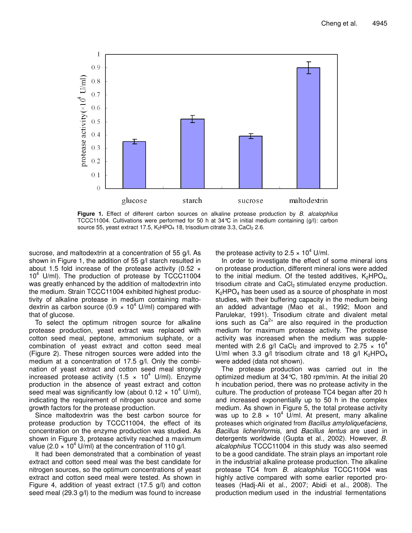

**Figure 1.** Effect of different carbon sources on alkaline protease production by *B. alcalophilus* TCCC11004. Cultivations were performed for 50 h at 34°C in initial medium containing (g/l): carbon source 55, yeast extract 17.5,  $K_2HPO_4$  18, trisodium citrate 3.3, CaCl<sub>2</sub> 2.6.

sucrose, and maltodextrin at a concentration of 55 g/l. As shown in Figure 1, the addition of 55 g/l starch resulted in about 1.5 fold increase of the protease activity  $(0.52 \times$ 10 <sup>4</sup> U/ml). The production of protease by TCCC11004 was greatly enhanced by the addition of maltodextrin into the medium. Strain TCCC11004 exhibited highest productivity of alkaline protease in medium containing maltodextrin as carbon source (0.9 × 10 <sup>4</sup> U/ml) compared with that of glucose.

To select the optimum nitrogen source for alkaline protease production, yeast extract was replaced with cotton seed meal, peptone, ammonium sulphate, or a combination of yeast extract and cotton seed meal (Figure 2). These nitrogen sources were added into the medium at a concentration of 17.5 g/l. Only the combination of yeast extract and cotton seed meal strongly increased protease activity (1.5  $\times$  10<sup>4</sup> U/ml). Enzyme production in the absence of yeast extract and cotton seed meal was significantly low (about 0.12  $\times$  10<sup>4</sup> U/ml), indicating the requirement of nitrogen source and some growth factors for the protease production.

Since maltodextrin was the best carbon source for protease production by TCCC11004, the effect of its concentration on the enzyme production was studied. As shown in Figure 3, protease activity reached a maximum value (2.0  $\times$  10<sup>4</sup> U/ml) at the concentration of 110 g/l.

It had been demonstrated that a combination of yeast extract and cotton seed meal was the best candidate for nitrogen sources, so the optimum concentrations of yeast extract and cotton seed meal were tested. As shown in Figure 4, addition of yeast extract (17.5 g/l) and cotton seed meal (29.3 g/l) to the medium was found to increase the protease activity to 2.5  $\times$  10<sup>4</sup> U/ml.

In order to investigate the effect of some mineral ions on protease production, different mineral ions were added to the initial medium. Of the tested additives,  $K_2HPO_4$ , trisodium citrate and CaCl<sub>2</sub> stimulated enzyme production.  $K<sub>2</sub>HPO<sub>4</sub>$  has been used as a source of phosphate in most studies, with their buffering capacity in the medium being an added advantage (Mao et al., 1992; Moon and Parulekar, 1991). Trisodium citrate and divalent metal ions such as  $Ca^{2+}$  are also required in the production medium for maximum protease activity. The protease activity was increased when the medium was supplemented with 2.6 g/l CaCl<sub>2</sub> and improved to 2.75  $\times$  10<sup>4</sup> U/ml when 3.3 g/l trisodium citrate and 18 g/l  $K_2HPO_4$ were added (data not shown).

The protease production was carried out in the optimized medium at 34°C, 180 rpm/min. At the initial 20 h incubation period, there was no protease activity in the culture. The production of protease TC4 began after 20 h and increased exponentially up to 50 h in the complex medium. As shown in Figure 5, the total protease activity was up to 2.8  $\times$  10<sup>4</sup> U/ml. At present, many alkaline proteases which originated from *Bacillus amyloliquefaciens*, *Bacillus licheniformis*, and *Bacillus lentus* are used in detergents worldwide (Gupta et al., 2002). However, *B. alcalophilus* TCCC11004 in this study was also seemed to be a good candidate. The strain plays an important role in the industrial alkaline protease production. The alkaline protease TC4 from *B. alcalophilus* TCCC11004 was highly active compared with some earlier reported proteases (Hadj-Ali et al., 2007; Abidi et al., 2008). The production medium used in the industrial fermentations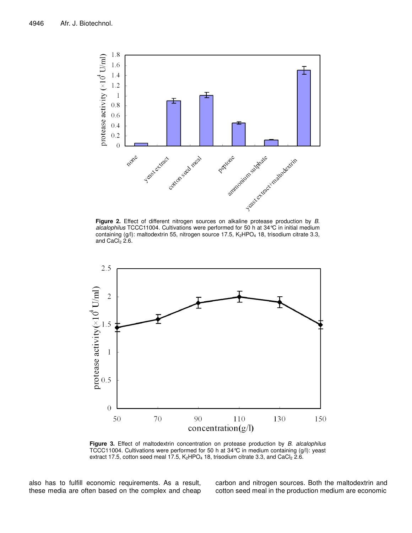

*alcalophilus* TCCC11004. Cultivations were performed for 50 h at 34°C in initial medium containing  $(g/l)$ : maltodextrin 55, nitrogen source 17.5, K<sub>2</sub>HPO<sub>4</sub> 18, trisodium citrate 3.3, and  $CaCl<sub>2</sub> 2.6$ .



**Figure 3.** Effect of maltodextrin concentration on protease production by *B. alcalophilus* TCCC11004. Cultivations were performed for 50 h at 34°C in medium containing (g/l): yeast extract 17.5, cotton seed meal 17.5,  $K_2HPO_4$  18, trisodium citrate 3.3, and CaCl<sub>2</sub> 2.6.

also has to fulfill economic requirements. As a result, these media are often based on the complex and cheap carbon and nitrogen sources. Both the maltodextrin and cotton seed meal in the production medium are economic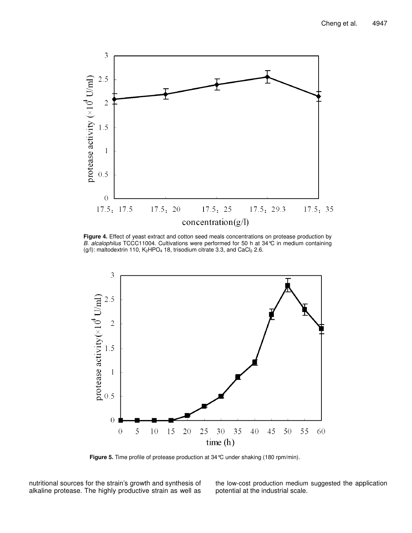

**Figure 4.** Effect of yeast extract and cotton seed meals concentrations on protease production by *B. alcalophilus* TCCC11004. Cultivations were performed for 50 h at 34°C in medium containing (g/l): maltodextrin 110,  $K_2$ HPO<sub>4</sub> 18, trisodium citrate 3.3, and CaCl<sub>2</sub> 2.6.



**Figure 5.** Time profile of protease production at 34°C under shaking (180 rpm/min).

nutritional sources for the strain's growth and synthesis of alkaline protease. The highly productive strain as well as the low-cost production medium suggested the application potential at the industrial scale.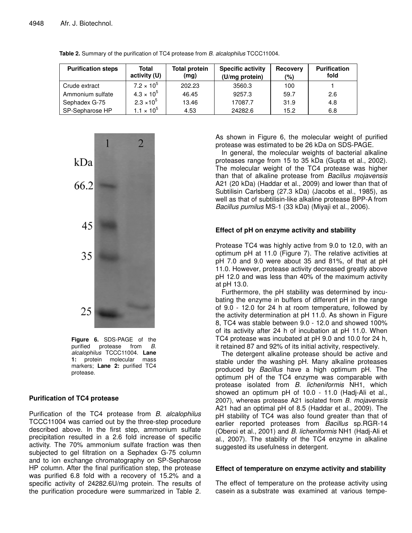| <b>Purification steps</b> | Total<br>activity (U)        | <b>Total protein</b><br>(mg) | <b>Specific activity</b><br>(U/mg protein) | <b>Recovery</b><br>(%) | <b>Purification</b><br>fold |
|---------------------------|------------------------------|------------------------------|--------------------------------------------|------------------------|-----------------------------|
| Crude extract             | $7.2 \times 10^{5}$          | 202.23                       | 3560.3                                     | 100                    |                             |
| Ammonium sulfate          | $4.3 \times 10^{5}$          | 46.45                        | 9257.3                                     | 59.7                   | 2.6                         |
| Sephadex G-75             | $2.3 \times 10^{5}$          | 13.46                        | 17087.7                                    | 31.9                   | 4.8                         |
| SP-Sepharose HP           | 1.1 $\times$ 10 <sup>5</sup> | 4.53                         | 24282.6                                    | 15.2                   | 6.8                         |

**Table 2.** Summary of the purification of TC4 protease from *B. alcalophilus* TCCC11004.



**Figure 6.** SDS-PAGE of the purified protease from *B*. protease from *B*. *alcalophilus* TCCC11004. **Lane 1:** protein molecular mass markers; **Lane 2:** purified TC4 protease.

# **Purification of TC4 protease**

Purification of the TC4 protease from *B. alcalophilus* TCCC11004 was carried out by the three-step procedure described above. In the first step, ammonium sulfate precipitation resulted in a 2.6 fold increase of specific activity. The 70% ammonium sulfate fraction was then subjected to gel filtration on a Sephadex G-75 column and to ion exchange chromatography on SP-Sepharose HP column. After the final purification step, the protease was purified 6.8 fold with a recovery of 15.2% and a specific activity of 24282.6U/mg protein. The results of the purification procedure were summarized in Table 2.

As shown in Figure 6, the molecular weight of purified protease was estimated to be 26 kDa on SDS-PAGE.

In general, the molecular weights of bacterial alkaline proteases range from 15 to 35 kDa (Gupta et al., 2002). The molecular weight of the TC4 protease was higher than that of alkaline protease from *Bacillus mojavensis* A21 (20 kDa) (Haddar et al., 2009) and lower than that of Subtilisin Carlsberg (27.3 kDa) (Jacobs et al., 1985), as well as that of subtilisin-like alkaline protease BPP-A from *Bacillus pumilus* MS-1 (33 kDa) (Miyaji et al., 2006).

# **Effect of pH on enzyme activity and stability**

Protease TC4 was highly active from 9.0 to 12.0, with an optimum pH at 11.0 (Figure 7). The relative activities at pH 7.0 and 9.0 were about 35 and 81%, of that at pH 11.0. However, protease activity decreased greatly above pH 12.0 and was less than 40% of the maximum activity at pH 13.0.

Furthermore, the pH stability was determined by incubating the enzyme in buffers of different pH in the range of 9.0 - 12.0 for 24 h at room temperature, followed by the activity determination at pH 11.0. As shown in Figure 8, TC4 was stable between 9.0 - 12.0 and showed 100% of its activity after 24 h of incubation at pH 11.0. When TC4 protease was incubated at pH 9.0 and 10.0 for 24 h, it retained 87 and 92% of its initial activity, respectively.

The detergent alkaline protease should be active and stable under the washing pH. Many alkaline proteases produced by *Bacillus* have a high optimum pH. The optimum pH of the TC4 enzyme was comparable with protease isolated from *B. licheniformis* NH1, which showed an optimum pH of 10.0 - 11.0 (Hadj-Ali et al., 2007), whereas protease A21 isolated from *B. mojavensis* A21 had an optimal pH of 8.5 (Haddar et al., 2009). The pH stability of TC4 was also found greater than that of earlier reported proteases from *Bacillus* sp*.*RGR-14 (Oberoi et al., 2001) and *B. licheniformis* NH1 (Hadj-Ali et al., 2007). The stability of the TC4 enzyme in alkaline suggested its usefulness in detergent.

# **Effect of temperature on enzyme activity and stability**

The effect of temperature on the protease activity using casein as a substrate was examined at various tempe-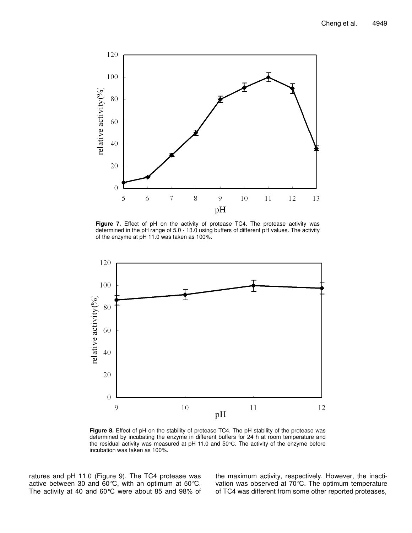

**Figure 7.** Effect of pH on the activity of protease TC4. The protease activity was determined in the pH range of 5.0 - 13.0 using buffers of different pH values. The activity of the enzyme at pH 11.0 was taken as 100%.



**Figure 8.** Effect of pH on the stability of protease TC4. The pH stability of the protease was determined by incubating the enzyme in different buffers for 24 h at room temperature and the residual activity was measured at pH 11.0 and 50°C. The activity of the enzyme before incubation was taken as 100%.

ratures and pH 11.0 (Figure 9). The TC4 protease was active between 30 and 60°C, with an optimum at 50°C. The activity at 40 and 60°C were about 85 and 98% of the maximum activity, respectively. However, the inactivation was observed at 70°C. The optimum temperature of TC4 was different from some other reported proteases,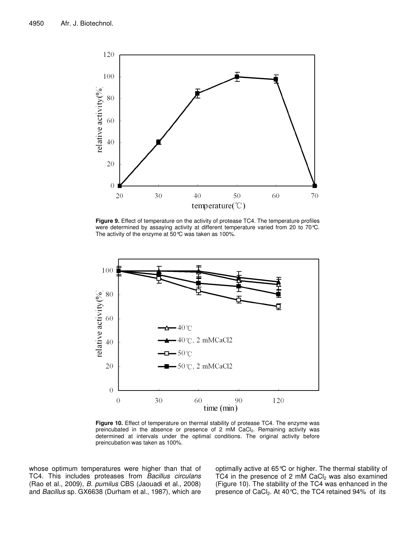

**Figure 9.** Effect of temperature on the activity of protease TC4. The temperature profiles were determined by assaying activity at different temperature varied from 20 to 70°C. The activity of the enzyme at 50°C was taken as 100%.



**Figure 10.** Effect of temperature on thermal stability of protease TC4. The enzyme was preincubated in the absence or presence of 2 mM CaCl<sub>2</sub>. Remaining activity was determined at intervals under the optimal conditions. The original activity before preincubation was taken as 100%.

whose optimum temperatures were higher than that of TC4. This includes proteases from *Bacillus circulans* (Rao et al., 2009), *B. pumilus* CBS (Jaouadi et al., 2008) and *Bacillus* sp. GX6638 (Durham et al., 1987), which are optimally active at 65°C or higher. The thermal stability of TC4 in the presence of 2 mM CaC $l_2$  was also examined (Figure 10). The stability of the TC4 was enhanced in the presence of CaCl<sub>2</sub>. At 40 °C, the TC4 retained 94% of its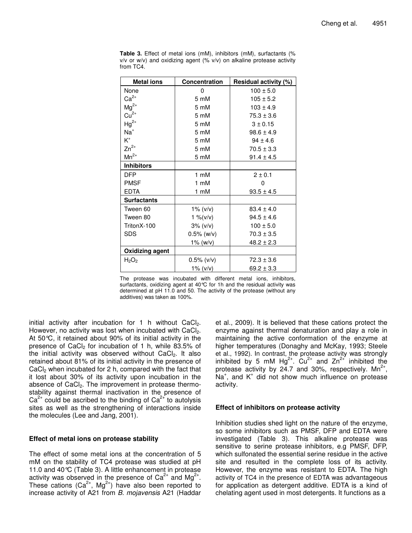| <b>Metal ions</b>                    | Concentration   | Residual activity (%) |
|--------------------------------------|-----------------|-----------------------|
| None                                 | 0               | $100 \pm 5.0$         |
| $Ca^{2+}$                            | 5 mM            | $105 \pm 5.2$         |
| $Mg^{2+}$                            | 5 mM            | $103 \pm 4.9$         |
| $Cu2+$                               | 5 mM            | $75.3 \pm 3.6$        |
| $Hg^{2+}$                            | 5 mM            | $3 \pm 0.15$          |
| $Na+$                                | 5 mM            | $98.6 \pm 4.9$        |
| $\mathsf{K}^{\scriptscriptstyle{+}}$ | 5 mM            | $94 \pm 4.6$          |
| $Zn^{2+}$                            | 5 mM            | $70.5 \pm 3.3$        |
| $Mn^{2+}$                            | 5 mM            | $91.4 \pm 4.5$        |
| <b>Inhibitors</b>                    |                 |                       |
| <b>DFP</b>                           | 1 mM            | $2 \pm 0.1$           |
| <b>PMSF</b>                          | $1 \text{ mM}$  | 0                     |
| <b>EDTA</b>                          | 1 mM            | $93.5 \pm 4.5$        |
| <b>Surfactants</b>                   |                 |                       |
| Tween 60                             | 1% $(v/v)$      | $83.4 \pm 4.0$        |
| Tween 80                             | 1 % ( $v/v$ )   | $94.5 \pm 4.6$        |
| TritonX-100                          | 3% (v/v)        | $100 \pm 5.0$         |
| <b>SDS</b>                           | $0.5\%$ (w/v)   | $70.3 \pm 3.5$        |
|                                      | $1\%$ (w/v)     | $48.2 \pm 2.3$        |
| <b>Oxidizing agent</b>               |                 |                       |
| H <sub>2</sub> O <sub>2</sub>        | $0.5\%$ (v/v)   | $72.3 \pm 3.6$        |
|                                      | $1\%$ ( $v/v$ ) | $69.2 \pm 3.3$        |

**Table 3.** Effect of metal ions (mM), inhibitors (mM), surfactants (%  $v/v$  or  $w/v$ ) and oxidizing agent (%  $v/v$ ) on alkaline protease activity from TC4.

The protease was incubated with different metal ions, inhibitors, surfactants, oxidizing agent at 40°C for 1h and the residual activity was determined at pH 11.0 and 50. The activity of the protease (without any additives) was taken as 100%.

initial activity after incubation for 1 h without  $CaCl<sub>2</sub>$ . However, no activity was lost when incubated with CaCl<sub>2</sub>. At 50°C, it retained about 90% of its initial activity in the presence of CaCl<sub>2</sub> for incubation of 1 h, while 83.5% of the initial activity was observed without CaCl<sub>2</sub>. It also retained about 81% of its initial activity in the presence of CaCl<sub>2</sub> when incubated for 2 h, compared with the fact that it lost about 30% of its activity upon incubation in the absence of CaCl<sub>2</sub>. The improvement in protease thermostability against thermal inactivation in the presence of  $Ca<sup>2+</sup>$  could be ascribed to the binding of  $Ca<sup>2+</sup>$  to autolysis sites as well as the strengthening of interactions inside the molecules (Lee and Jang, 2001).

# **Effect of metal ions on protease stability**

The effect of some metal ions at the concentration of 5 mM on the stability of TC4 protease was studied at pH 11.0 and 40°C (Table 3). A little enhancement in protease activity was observed in the presence of Ca<sup>2+</sup> and Mg<sup>2+</sup>. These cations (Ca<sup>2+</sup>, Mg<sup>2+</sup>) have also been reported to increase activity of A21 from *B. mojavensis* A21 (Haddar et al., 2009). It is believed that these cations protect the enzyme against thermal denaturation and play a role in maintaining the active conformation of the enzyme at higher temperatures (Donaghy and McKay, 1993; Steele et al., 1992). In contrast, the protease activity was strongly inhibited by 5 mM  $Hg^{2+}$ . Cu<sup>2+</sup> and Zn<sup>2+</sup> inhibited the protease activity by 24.7 and 30%, respectively.  $Mn^{2+}$ , Na<sup>+</sup>, and K<sup>+</sup> did not show much influence on protease activity.

# **Effect of inhibitors on protease activity**

Inhibition studies shed light on the nature of the enzyme, so some inhibitors such as PMSF, DFP and EDTA were investigated (Table 3). This alkaline protease was sensitive to serine protease inhibitors, e.g PMSF, DFP, which sulfonated the essential serine residue in the active site and resulted in the complete loss of its activity. However, the enzyme was resistant to EDTA. The high activity of TC4 in the presence of EDTA was advantageous for application as detergent additive. EDTA is a kind of chelating agent used in most detergents. It functions as a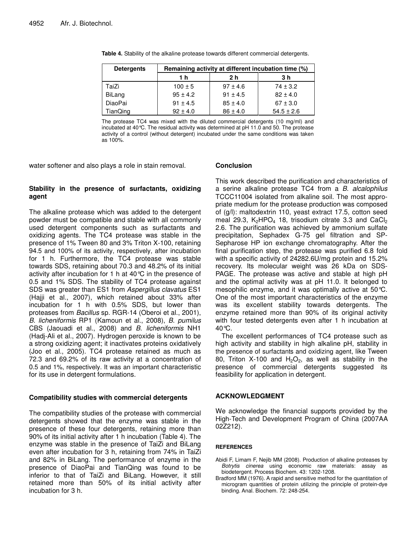| <b>Detergents</b> | Remaining activity at different incubation time (%) |              |                |  |  |
|-------------------|-----------------------------------------------------|--------------|----------------|--|--|
|                   | 1 h                                                 | 2 h          | 3 h            |  |  |
| TaiZi             | $100 \pm 5$                                         | $97 \pm 4.6$ | $74 \pm 3.2$   |  |  |
| BiLang            | $95 \pm 4.2$                                        | $91 \pm 4.5$ | $82 \pm 4.0$   |  |  |
| DiaoPai           | $91 \pm 4.5$                                        | $85 \pm 4.0$ | $67 \pm 3.0$   |  |  |
| <b>TianQing</b>   | $92 \pm 4.0$                                        | $86 \pm 4.0$ | $54.5 \pm 2.6$ |  |  |

**Table 4.** Stability of the alkaline protease towards different commercial detergents.

The protease TC4 was mixed with the diluted commercial detergents (10 mg/ml) and incubated at 40°C. The residual activity was determined at pH 11.0 and 50. The protease activity of a control (without detergent) incubated under the same conditions was taken as 100%.

water softener and also plays a role in stain removal.

# **Stability in the presence of surfactants, oxidizing agent**

The alkaline protease which was added to the detergent powder must be compatible and stable with all commonly used detergent components such as surfactants and oxidizing agents. The TC4 protease was stable in the presence of 1% Tween 80 and 3% Triton X-100, retaining 94.5 and 100% of its activity, respectively, after incubation for 1 h. Furthermore, the TC4 protease was stable towards SDS, retaining about 70.3 and 48.2% of its initial activity after incubation for 1 h at 40°C in the presence of 0.5 and 1% SDS. The stability of TC4 protease against SDS was greater than ES1 from *Aspergillus clavatus* ES1 (Hajji et al., 2007), which retained about 33% after incubation for 1 h with 0.5% SDS, but lower than proteases from *Bacillus* sp*.* RGR-14 (Oberoi et al., 2001), *B. licheniformis* RP1 (Kamoun et al., 2008), *B. pumilus* CBS (Jaouadi et al., 2008) and *B. licheniformis* NH1 (Hadj-Ali et al., 2007). Hydrogen peroxide is known to be a strong oxidizing agent; it inactivates proteins oxidatively (Joo et al., 2005). TC4 protease retained as much as 72.3 and 69.2% of its raw activity at a concentration of 0.5 and 1%, respectively. It was an important characteristic for its use in detergent formulations.

# **Compatibility studies with commercial detergents**

The compatibility studies of the protease with commercial detergents showed that the enzyme was stable in the presence of these four detergents, retaining more than 90% of its initial activity after 1 h incubation (Table 4). The enzyme was stable in the presence of TaiZi and BiLang even after incubation for 3 h, retaining from 74% in TaiZi and 82% in BiLang. The performance of enzyme in the presence of DiaoPai and TianQing was found to be inferior to that of TaiZi and BiLang. However, it still retained more than 50% of its initial activity after incubation for 3 h.

# **Conclusion**

This work described the purification and characteristics of a serine alkaline protease TC4 from a *B. alcalophilus* TCCC11004 isolated from alkaline soil. The most appropriate medium for the protease production was composed of (g/l): maltodextrin 110, yeast extract 17.5, cotton seed meal 29.3,  $K_2HPO_4$  18, trisodium citrate 3.3 and CaCl<sub>2</sub> 2.6. The purification was achieved by ammonium sulfate precipitation, Sephadex G-75 gel filtration and SP-Sepharose HP ion exchange chromatography. After the final purification step, the protease was purified 6.8 fold with a specific activity of 24282.6U/mg protein and 15.2% recovery. Its molecular weight was 26 kDa on SDS-PAGE. The protease was active and stable at high pH and the optimal activity was at pH 11.0. It belonged to mesophilic enzyme, and it was optimally active at 50°C. One of the most important characteristics of the enzyme was its excellent stability towards detergents. The enzyme retained more than 90% of its original activity with four tested detergents even after 1 h incubation at 40°C.

The excellent performances of TC4 protease such as high activity and stability in high alkaline pH, stability in the presence of surfactants and oxidizing agent, like Tween 80, Triton X-100 and  $H_2O_2$ , as well as stability in the presence of commercial detergents suggested its feasibility for application in detergent.

# **ACKNOWLEDGMENT**

We acknowledge the financial supports provided by the High-Tech and Development Program of China (2007AA 02Z212).

# **REFERENCES**

- Abidi F, Limam F, Nejib MM (2008). Production of alkaline proteases by *Botrytis cinerea* using economic raw materials: assay as biodetergent. Process Biochem. 43: 1202-1208.
- Bradford MM (1976). A rapid and sensitive method for the quantitation of microgram quantities of protein utilizing the principle of protein-dye binding. Anal. Biochem. 72: 248-254.